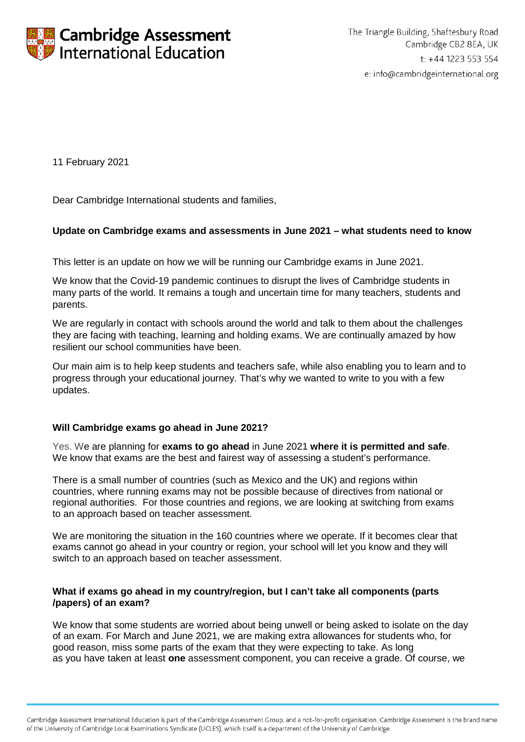

11 February 2021

Dear Cambridge International students and families,

# **Update on Cambridge exams and assessments in June 2021 – what students need to know**

This letter is an update on how we will be running our Cambridge exams in June 2021.

We know that the Covid-19 pandemic continues to disrupt the lives of Cambridge students in many parts of the world. It remains a tough and uncertain time for many teachers, students and parents.

We are regularly in contact with schools around the world and talk to them about the challenges they are facing with teaching, learning and holding exams. We are continually amazed by how resilient our school communities have been.

Our main aim is to help keep students and teachers safe, while also enabling you to learn and to progress through your educational journey. That's why we wanted to write to you with a few updates.

## **Will Cambridge exams go ahead in June 2021?**

Yes. We are planning for **exams to go ahead** in June 2021 **where it is permitted and safe**. We know that exams are the best and fairest way of assessing a student's performance.

There is a small number of countries (such as Mexico and the UK) and regions within countries, where running exams may not be possible because of directives from national or regional authorities. For those countries and regions, we are looking at switching from exams to an approach based on teacher assessment.

We are monitoring the situation in the 160 countries where we operate. If it becomes clear that exams cannot go ahead in your country or region, your school will let you know and they will switch to an approach based on teacher assessment.

## **What if exams go ahead in my country/region, but I can't take all components (parts /papers) of an exam?**

We know that some students are worried about being unwell or being asked to isolate on the day of an exam. For March and June 2021, we are making extra allowances for students who, for good reason, miss some parts of the exam that they were expecting to take. As long as you have taken at least **one** assessment component, you can receive a grade. Of course, we

Cambridge Assessment International Education is part of the Cambridge Assessment Group, and a not-for-profit organisation. Cambridge Assessment is the brand name of the University of Cambridge Local Examinations Syndicate (UCLES), which itself is a department of the University of Cambridge.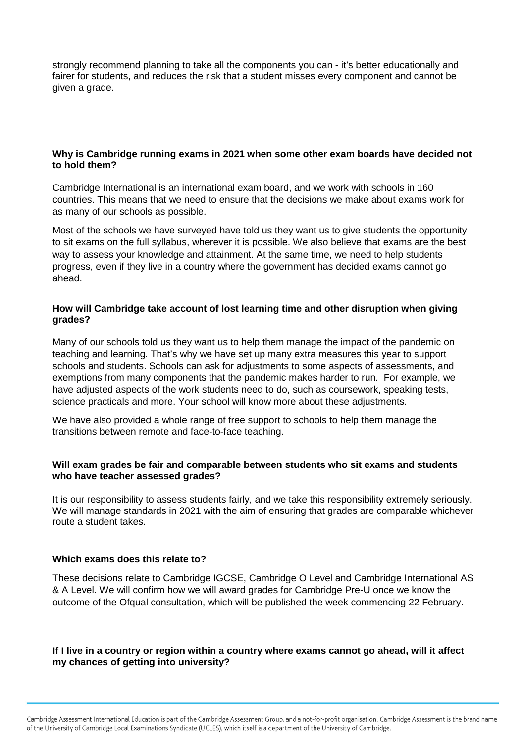strongly recommend planning to take all the components you can - it's better educationally and fairer for students, and reduces the risk that a student misses every component and cannot be given a grade.

## **Why is Cambridge running exams in 2021 when some other exam boards have decided not to hold them?**

Cambridge International is an international exam board, and we work with schools in 160 countries. This means that we need to ensure that the decisions we make about exams work for as many of our schools as possible.

Most of the schools we have surveyed have told us they want us to give students the opportunity to sit exams on the full syllabus, wherever it is possible. We also believe that exams are the best way to assess your knowledge and attainment. At the same time, we need to help students progress, even if they live in a country where the government has decided exams cannot go ahead.

## **How will Cambridge take account of lost learning time and other disruption when giving grades?**

Many of our schools told us they want us to help them manage the impact of the pandemic on teaching and learning. That's why we have set up many extra measures this year to support schools and students. Schools can ask for adjustments to some aspects of assessments, and exemptions from many components that the pandemic makes harder to run. For example, we have adjusted aspects of the work students need to do, such as coursework, speaking tests, science practicals and more. Your school will know more about these adjustments.

We have also provided a whole range of free support to schools to help them manage the transitions between remote and face-to-face teaching.

### **Will exam grades be fair and comparable between students who sit exams and students who have teacher assessed grades?**

It is our responsibility to assess students fairly, and we take this responsibility extremely seriously. We will manage standards in 2021 with the aim of ensuring that grades are comparable whichever route a student takes.

## **Which exams does this relate to?**

These decisions relate to Cambridge IGCSE, Cambridge O Level and Cambridge International AS & A Level. We will confirm how we will award grades for Cambridge Pre-U once we know the outcome of the Ofqual consultation, which will be published the week commencing 22 February.

## **If I live in a country or region within a country where exams cannot go ahead, will it affect my chances of getting into university?**

Cambridge Assessment International Education is part of the Cambridge Assessment Group, and a not-for-profit organisation. Cambridge Assessment is the brand name of the University of Cambridge Local Examinations Syndicate (UCLES), which itself is a department of the University of Cambridge.